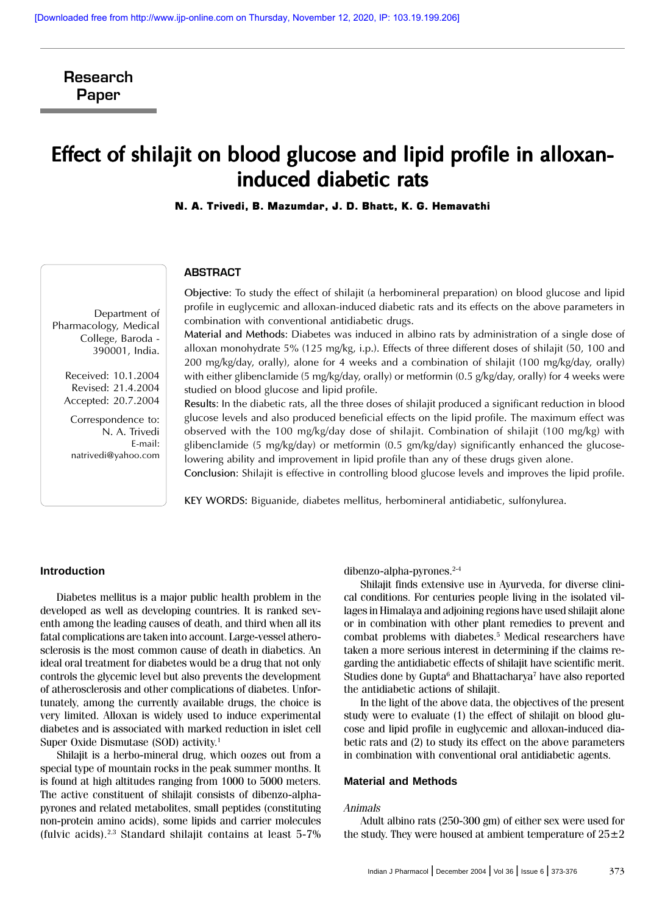Research Paper

# Effect of shilajit on blood glucose and lipid profile in alloxaninduced diabetic rats

N. A. Trivedi, B. Mazumdar, J. D. Bhatt, K. G. Hemavathi

### ABSTRACT

Objective: To study the effect of shilajit (a herbomineral preparation) on blood glucose and lipid profile in euglycemic and alloxan-induced diabetic rats and its effects on the above parameters in combination with conventional antidiabetic drugs.

Material and Methods: Diabetes was induced in albino rats by administration of a single dose of alloxan monohydrate 5% (125 mg/kg, i.p.). Effects of three different doses of shilajit (50, 100 and 200 mg/kg/day, orally), alone for 4 weeks and a combination of shilajit (100 mg/kg/day, orally) with either glibenclamide (5 mg/kg/day, orally) or metformin (0.5 g/kg/day, orally) for 4 weeks were studied on blood glucose and lipid profile.

Results: In the diabetic rats, all the three doses of shilajit produced a significant reduction in blood glucose levels and also produced beneficial effects on the lipid profile. The maximum effect was observed with the 100 mg/kg/day dose of shilajit. Combination of shilajit (100 mg/kg) with glibenclamide (5 mg/kg/day) or metformin (0.5 gm/kg/day) significantly enhanced the glucoselowering ability and improvement in lipid profile than any of these drugs given alone.

Conclusion: Shilajit is effective in controlling blood glucose levels and improves the lipid profile.

KEY WORDS: Biguanide, diabetes mellitus, herbomineral antidiabetic, sulfonylurea.

# **Introduction**

Diabetes mellitus is a major public health problem in the developed as well as developing countries. It is ranked seventh among the leading causes of death, and third when all its fatal complications are taken into account. Large-vessel atherosclerosis is the most common cause of death in diabetics. An ideal oral treatment for diabetes would be a drug that not only controls the glycemic level but also prevents the development of atherosclerosis and other complications of diabetes. Unfortunately, among the currently available drugs, the choice is very limited. Alloxan is widely used to induce experimental diabetes and is associated with marked reduction in islet cell Super Oxide Dismutase (SOD) activity.<sup>1</sup>

Shilajit is a herbo-mineral drug, which oozes out from a special type of mountain rocks in the peak summer months. It is found at high altitudes ranging from 1000 to 5000 meters. The active constituent of shilajit consists of dibenzo-alphapyrones and related metabolites, small peptides (constituting non-protein amino acids), some lipids and carrier molecules (fulvic acids).2,3 Standard shilajit contains at least 5-7% dibenzo-alpha-pyrones.2-4

Shilajit finds extensive use in Ayurveda, for diverse clinical conditions. For centuries people living in the isolated villages in Himalaya and adjoining regions have used shilajit alone or in combination with other plant remedies to prevent and combat problems with diabetes.<sup>5</sup> Medical researchers have taken a more serious interest in determining if the claims regarding the antidiabetic effects of shilajit have scientific merit. Studies done by Gupta $^6$  and Bhattacharya $^7$  have also reported the antidiabetic actions of shilajit.

In the light of the above data, the objectives of the present study were to evaluate (1) the effect of shilajit on blood glucose and lipid profile in euglycemic and alloxan-induced diabetic rats and (2) to study its effect on the above parameters in combination with conventional oral antidiabetic agents.

# **Material and Methods**

### Animals

Adult albino rats (250-300 gm) of either sex were used for the study. They were housed at ambient temperature of  $25\pm2$ 

Department of Pharmacology, Medical College, Baroda - 390001, India.

> Received: 10.1.2004 Revised: 21.4.2004 Accepted: 20.7.2004

Correspondence to: N. A. Trivedi E-mail: natrivedi@yahoo.com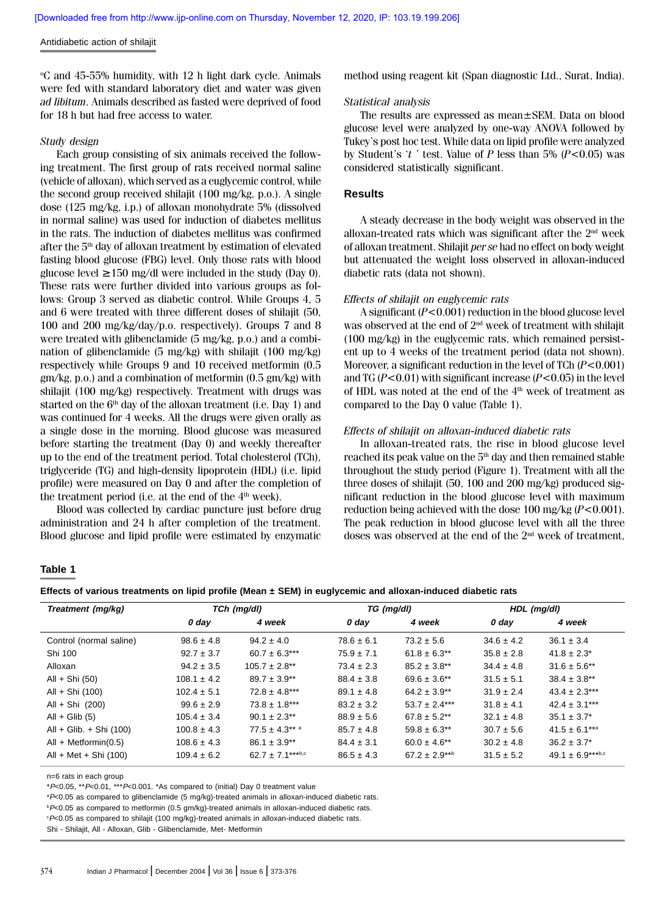#### Antidiabetic action of shilajit

o C and 45-55% humidity, with 12 h light dark cycle. Animals were fed with standard laboratory diet and water was given ad libitum. Animals described as fasted were deprived of food for 18 h but had free access to water.

#### Study design

Each group consisting of six animals received the following treatment. The first group of rats received normal saline (vehicle of alloxan), which served as a euglycemic control, while the second group received shilajit (100 mg/kg, p.o.). A single dose (125 mg/kg, i.p.) of alloxan monohydrate 5% (dissolved in normal saline) was used for induction of diabetes mellitus in the rats. The induction of diabetes mellitus was confirmed after the 5th day of alloxan treatment by estimation of elevated fasting blood glucose (FBG) level. Only those rats with blood glucose level ≥ 150 mg/dl were included in the study (Day 0). These rats were further divided into various groups as follows: Group 3 served as diabetic control. While Groups 4, 5 and 6 were treated with three different doses of shilajit (50, 100 and 200 mg/kg/day/p.o. respectively). Groups 7 and 8 were treated with glibenclamide (5 mg/kg, p.o.) and a combination of glibenclamide (5 mg/kg) with shilajit (100 mg/kg) respectively while Groups 9 and 10 received metformin (0.5 gm/kg, p.o.) and a combination of metformin (0.5 gm/kg) with shilajit (100 mg/kg) respectively. Treatment with drugs was started on the  $6<sup>th</sup>$  day of the alloxan treatment (i.e. Day 1) and was continued for 4 weeks. All the drugs were given orally as a single dose in the morning. Blood glucose was measured before starting the treatment (Day 0) and weekly thereafter up to the end of the treatment period. Total cholesterol (TCh), triglyceride (TG) and high-density lipoprotein (HDL) (i.e. lipid profile) were measured on Day 0 and after the completion of the treatment period (i.e. at the end of the  $4<sup>th</sup>$  week).

Blood was collected by cardiac puncture just before drug administration and 24 h after completion of the treatment. Blood glucose and lipid profile were estimated by enzymatic method using reagent kit (Span diagnostic Ltd., Surat, India).

#### Statistical analysis

The results are expressed as mean±SEM. Data on blood glucose level were analyzed by one-way ANOVA followed by Tukey's post hoc test. While data on lipid profile were analyzed by Student's 't' test. Value of P less than  $5\%$  (P<0.05) was considered statistically significant.

#### **Results**

A steady decrease in the body weight was observed in the alloxan-treated rats which was significant after the 2nd week of alloxan treatment. Shilajit per se had no effect on body weight but attenuated the weight loss observed in alloxan-induced diabetic rats (data not shown).

#### Effects of shilajit on euglycemic rats

A significant  $(P<0.001)$  reduction in the blood glucose level was observed at the end of 2nd week of treatment with shilajit (100 mg/kg) in the euglycemic rats, which remained persistent up to 4 weeks of the treatment period (data not shown). Moreover, a significant reduction in the level of TCh  $(P<0.001)$ and TG ( $P < 0.01$ ) with significant increase ( $P < 0.05$ ) in the level of HDL was noted at the end of the  $4<sup>th</sup>$  week of treatment as compared to the Day 0 value (Table 1).

#### Effects of shilajit on alloxan-induced diabetic rats

In alloxan-treated rats, the rise in blood glucose level reached its peak value on the 5<sup>th</sup> day and then remained stable throughout the study period (Figure 1). Treatment with all the three doses of shilajit (50, 100 and 200 mg/kg) produced significant reduction in the blood glucose level with maximum reduction being achieved with the dose 100 mg/kg  $(P<0.001)$ . The peak reduction in blood glucose level with all the three doses was observed at the end of the 2nd week of treatment,

# **Table 1**

**Effects of various treatments on lipid profile (Mean ± SEM) in euglycemic and alloxan-induced diabetic rats**

| Treatment (mg/kg)        | TCh (mg/dl)     |                       | TG (mg/dl)     |                   | HDL (mg/dl)    |                   |
|--------------------------|-----------------|-----------------------|----------------|-------------------|----------------|-------------------|
|                          | 0 day           | 4 week                | $0$ day        | 4 week            | $0$ day        | 4 week            |
| Control (normal saline)  | $98.6 \pm 4.8$  | $94.2 \pm 4.0$        | $78.6 \pm 6.1$ | $73.2 \pm 5.6$    | $34.6 \pm 4.2$ | $36.1 \pm 3.4$    |
| Shi 100                  | $92.7 \pm 3.7$  | $60.7 \pm 6.3***$     | $75.9 \pm 7.1$ | $61.8 \pm 6.3$ ** | $35.8 \pm 2.8$ | $41.8 \pm 2.3^*$  |
| Alloxan                  | $94.2 \pm 3.5$  | $105.7 \pm 2.8**$     | $73.4 \pm 2.3$ | $85.2 \pm 3.8**$  | $34.4 \pm 4.8$ | $31.6 \pm 5.6**$  |
| All + Shi (50)           | $108.1 \pm 4.2$ | $89.7 \pm 3.9**$      | $88.4 \pm 3.8$ | $69.6 \pm 3.6$ ** | $31.5 \pm 5.1$ | $38.4 \pm 3.8**$  |
| All + Shi (100)          | $102.4 \pm 5.1$ | $72.8 \pm 4.8***$     | $89.1 \pm 4.8$ | $64.2 \pm 3.9**$  | $31.9 \pm 2.4$ | $43.4 \pm 2.3***$ |
| All + Shi (200)          | $99.6 \pm 2.9$  | $73.8 \pm 1.8***$     | $83.2 \pm 3.2$ | $53.7 \pm 2.4***$ | $31.8 \pm 4.1$ | $42.4 \pm 3.1***$ |
| All + Glib $(5)$         | $105.4 \pm 3.4$ | $90.1 \pm 2.3$ **     | $88.9 \pm 5.6$ | $67.8 \pm 5.2$ ** | $32.1 \pm 4.8$ | $35.1 \pm 3.7^*$  |
| All + Glib. + Shi (100)  | $100.8 \pm 4.3$ | $77.5 \pm 4.3***$     | $85.7 \pm 4.8$ | $59.8 \pm 6.3$ ** | $30.7 \pm 5.6$ | $41.5 \pm 6.1***$ |
| All + Metformin( $0.5$ ) | $108.6 \pm 4.3$ | $86.1 \pm 3.9**$      | $84.4 \pm 3.1$ | $60.0 \pm 4.6$ ** | $30.2 \pm 4.8$ | $36.2 \pm 3.7^*$  |
| $All + Met + Shi (100)$  | $109.4 \pm 6.2$ | $62.7 \pm 7.1***$ b,c | $86.5 \pm 4.3$ | $67.2 \pm 2.9***$ | $31.5 \pm 5.2$ | $49.1 \pm 6.9***$ |

n=6 rats in each group

 $*P<0.05$ ,  $*P<0.01$ ,  $**P<0.001$ ,  $*AP<0.001$ ,  $*AP<0.001$ ,  $*AP<0.001$ ,  $*AP<0.001$ ,  $*AP<0.001$ ,  $*AP<0.001$ ,  $*AP<0.001$ ,  $*AP<0.001$ ,  $*AP<0.001$ ,  $*AP<0.001$ ,  $*AP<0.001$ ,  $*AP<0.001$ ,  $*AP<0.001$ ,  $*AP<0.001$ ,  $*AP<0.001$ ,  $*AP<0.0$ 

<sup>a</sup>P<0.05 as compared to glibenclamide (5 mg/kg)-treated animals in alloxan-induced diabetic rats.

**P**<0.05 as compared to metformin (0.5 gm/kg)-treated animals in alloxan-induced diabetic rats.

c P<0.05 as compared to shilajit (100 mg/kg)-treated animals in alloxan-induced diabetic rats.

Shi - Shilajit, All - Alloxan, Glib - Glibenclamide, Met- Metformin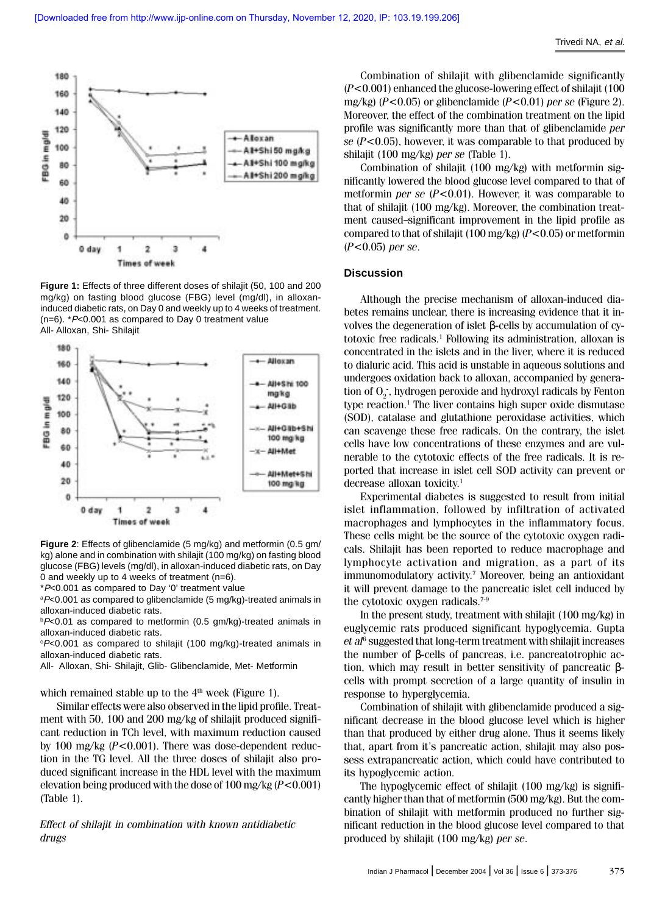

**Figure 1:** Effects of three different doses of shilajit (50, 100 and 200 mg/kg) on fasting blood glucose (FBG) level (mg/dl), in alloxaninduced diabetic rats, on Day 0 and weekly up to 4 weeks of treatment.  $(n=6)$ .  $*P<0.001$  as compared to Day 0 treatment value All- Alloxan, Shi- Shilajit



**Figure 2**: Effects of glibenclamide (5 mg/kg) and metformin (0.5 gm/ kg) alone and in combination with shilajit (100 mg/kg) on fasting blood glucose (FBG) levels (mg/dl), in alloxan-induced diabetic rats, on Day 0 and weekly up to 4 weeks of treatment (n=6).

\*P<0.001 as compared to Day '0' treatment value

 $aP<0.001$  as compared to glibenclamide (5 mg/kg)-treated animals in alloxan-induced diabetic rats.

 $p$ -0.01 as compared to metformin (0.5 gm/kg)-treated animals in alloxan-induced diabetic rats.

P<0.001 as compared to shilajit (100 mg/kg)-treated animals in alloxan-induced diabetic rats.

All- Alloxan, Shi- Shilajit, Glib- Glibenclamide, Met- Metformin

which remained stable up to the  $4<sup>th</sup>$  week (Figure 1).

Similar effects were also observed in the lipid profile. Treatment with 50, 100 and 200 mg/kg of shilajit produced significant reduction in TCh level, with maximum reduction caused by 100 mg/kg  $(P<0.001)$ . There was dose-dependent reduction in the TG level. All the three doses of shilajit also produced significant increase in the HDL level with the maximum elevation being produced with the dose of  $100 \text{ mg/kg}$  ( $P < 0.001$ ) (Table 1).

Effect of shilajit in combination with known antidiabetic drugs

Combination of shilajit with glibenclamide significantly  $(P<0.001)$  enhanced the glucose-lowering effect of shilajit (100) mg/kg) ( $P$ <0.05) or glibenclamide ( $P$ <0.01) per se (Figure 2). Moreover, the effect of the combination treatment on the lipid profile was significantly more than that of glibenclamide per se  $(P<0.05)$ , however, it was comparable to that produced by shilajit (100 mg/kg) per se (Table 1).

Combination of shilajit (100 mg/kg) with metformin significantly lowered the blood glucose level compared to that of metformin *per se*  $(P<0.01)$ . However, it was comparable to that of shilajit (100 mg/kg). Moreover, the combination treatment caused significant improvement in the lipid profile as compared to that of shilajit (100 mg/kg) ( $P$ <0.05) or metformin  $(P<0.05)$  per se.

#### **Discussion**

Although the precise mechanism of alloxan-induced diabetes remains unclear, there is increasing evidence that it involves the degeneration of islet β-cells by accumulation of cytotoxic free radicals.<sup>1</sup> Following its administration, alloxan is concentrated in the islets and in the liver, where it is reduced to dialuric acid. This acid is unstable in aqueous solutions and undergoes oxidation back to alloxan, accompanied by generation of O<sub>2</sub><sup>-</sup>, hydrogen peroxide and hydroxyl radicals by Fenton type reaction.<sup>1</sup> The liver contains high super oxide dismutase (SOD), catalase and glutathione peroxidase activities, which can scavenge these free radicals. On the contrary, the islet cells have low concentrations of these enzymes and are vulnerable to the cytotoxic effects of the free radicals. It is reported that increase in islet cell SOD activity can prevent or decrease alloxan toxicity.<sup>1</sup>

Experimental diabetes is suggested to result from initial islet inflammation, followed by infiltration of activated macrophages and lymphocytes in the inflammatory focus. These cells might be the source of the cytotoxic oxygen radicals. Shilajit has been reported to reduce macrophage and lymphocyte activation and migration, as a part of its immunomodulatory activity.<sup>7</sup> Moreover, being an antioxidant it will prevent damage to the pancreatic islet cell induced by the cytotoxic oxygen radicals.7-9

In the present study, treatment with shilajit (100 mg/kg) in euglycemic rats produced significant hypoglycemia. Gupta  $et al<sup>6</sup> suggested that long-term treatment with shilajit increases$ the number of β-cells of pancreas, i.e. pancreatotrophic action, which may result in better sensitivity of pancreatic βcells with prompt secretion of a large quantity of insulin in response to hyperglycemia.

Combination of shilajit with glibenclamide produced a significant decrease in the blood glucose level which is higher than that produced by either drug alone. Thus it seems likely that, apart from it's pancreatic action, shilajit may also possess extrapancreatic action, which could have contributed to its hypoglycemic action.

The hypoglycemic effect of shilajit (100 mg/kg) is significantly higher than that of metformin (500 mg/kg). But the combination of shilajit with metformin produced no further significant reduction in the blood glucose level compared to that produced by shilajit (100 mg/kg) per se.